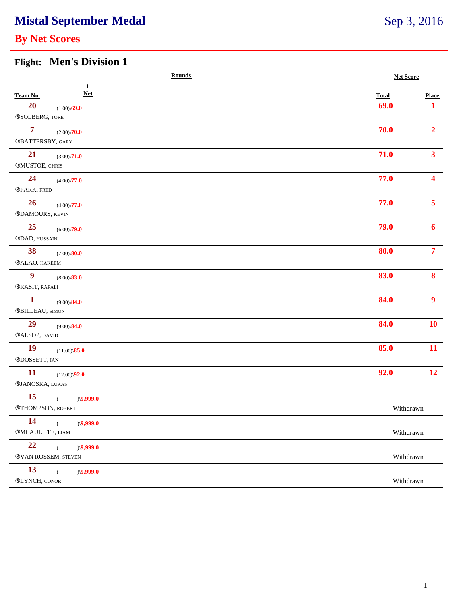## **Mistal September Medal**

### **By Net Scores**

### Sep 3, 2016

### **Flight: Men's Division 1**

| <b>Rounds</b>                                                                              |                      | <b>Net Score</b>  |  |
|--------------------------------------------------------------------------------------------|----------------------|-------------------|--|
| $\mathbf{1}$<br><b>Net</b><br>Team No.<br>20<br>$(1.00)\sqrt{69.0}$<br>®SOLBERG, TORE      | <b>Total</b><br>69.0 | <b>Place</b><br>1 |  |
| $\overline{7}$<br>$(2.00)\sqrt{70.0}$<br>®BATTERSBY, GARY                                  | 70.0                 | 2 <sup>1</sup>    |  |
| 21<br>$(3.00)\sqrt{71.0}$<br>®MUSTOE, CHRIS                                                | 71.0                 | 3 <sup>1</sup>    |  |
| 24<br>$(4.00)\sqrt{77.0}$<br>®PARK, FRED                                                   | 77.0                 | $\blacktriangle$  |  |
| 26<br>$(4.00)\sqrt{77.0}$<br>®DAMOURS, KEVIN                                               | 77.0                 | 5 <sup>1</sup>    |  |
| 25<br>$(6.00)\sqrt{79.0}$<br>®DAD, HUSSAIN                                                 | 79.0                 | $\mathbf{6}$      |  |
| 38<br>$(7.00)$ $80.0$<br>®ALAO, HAKEEM                                                     | 80.0                 | $\overline{7}$    |  |
| $\boldsymbol{9}$<br>$(8.00)\$ \ <b>83.0</b><br>®RASIT, RAFALI                              | 83.0                 | 8                 |  |
| $\mathbf{1}$<br>$(9.00)\$ <b>84.0</b><br>$\scriptstyle\textcircled{\small BILLEAU, SIMON}$ | 84.0                 | 9 <sup>°</sup>    |  |
| 29<br>$(9.00)\$ 84.0<br>®ALSOP, DAVID                                                      | 84.0                 | <b>10</b>         |  |
| <b>19</b><br>$(11.00)\$ \ <b>85.0</b><br>®DOSSETT, IAN                                     | 85.0                 | 11                |  |
| <b>11</b><br>$(12.00)\sqrt{92.0}$<br>®JANOSKA, LUKAS                                       | 92.0                 | <b>12</b>         |  |
| <b>15</b><br>$)\sqrt{9,999.0}$<br>®THOMPSON, ROBERT                                        | Withdrawn            |                   |  |
| 14<br>)(9,999.0)<br>$\left($<br>®MCAULIFFE, LIAM                                           | Withdrawn            |                   |  |
| 22<br>$)\langle 9,999.0$<br>$\left($<br>®VAN ROSSEM, STEVEN                                | Withdrawn            |                   |  |
| 13<br>$\overline{C}$<br>$)\langle 9,999.0$<br>$\circledR$ LYNCH, CONOR                     | Withdrawn            |                   |  |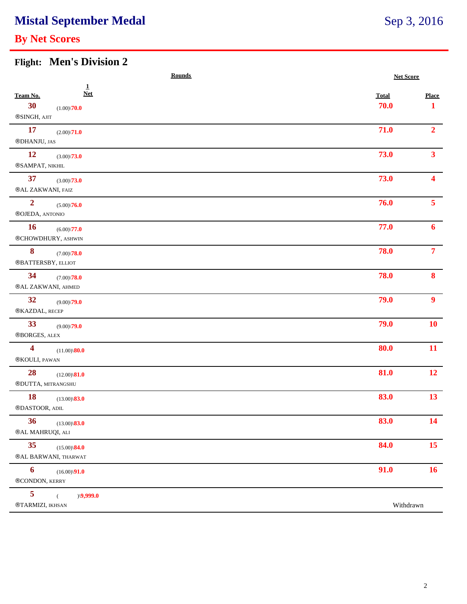### **Mistal September Medal**

### **By Net Scores**

### **Flight: Men's Division 2**

| <b>Rounds</b>                                                                       | <b>Net Score</b>     |                        |
|-------------------------------------------------------------------------------------|----------------------|------------------------|
| $\mathbf{1}$<br><b>Net</b><br>Team No.<br>30<br>$(1.00)\sqrt{70.0}$<br>®SINGH, AJIT | <b>Total</b><br>70.0 | <b>Place</b><br>1      |
| <b>17</b><br>$(2.00)\sqrt{71.0}$<br>$\circledR$ DHANJU, JAS                         | 71.0                 | $\overline{2}$         |
| <b>12</b><br>$(3.00)\sqrt{73.0}$<br>®SAMPAT, NIKHIL                                 | 73.0                 | 3 <sup>1</sup>         |
| 37<br>$(3.00)\sqrt{73.0}$<br>®AL ZAKWANI, FAIZ                                      | 73.0                 | $\boldsymbol{\Lambda}$ |
| $\overline{2}$<br>$(5.00)\sqrt{76.0}$<br>®OJEDA, ANTONIO                            | 76.0                 | 5 <sup>1</sup>         |
| <b>16</b><br>$(6.00)\sqrt{77.0}$<br>®CHOWDHURY, ASHWIN                              | 77.0                 | 6                      |
| 8<br>$(7.00)\backslash\mathbf{78.0}$<br>$\circledR$ BATTERSBY, ELLIOT               | 78.0                 | $\overline{7}$         |
| 34<br>$(7.00)\sqrt{78.0}$<br>®AL ZAKWANI, AHMED                                     | 78.0                 | $\bf{8}$               |
| 32<br>$(9.00)\sqrt{79.0}$<br>®KAZDAL, RECEP                                         | 79.0                 | 9 <sup>°</sup>         |
| 33<br>$(9.00)\sqrt{79.0}$<br>®BORGES, ALEX                                          | 79.0                 | <b>10</b>              |
| $\overline{\mathbf{4}}$<br>$(11.00)\$ <b>80.0</b><br>®KOULI, PAWAN                  | 80.0                 | 11                     |
| 28<br>$(12.00)\$ <b>81.0</b><br>$\circledR$ DUTTA, MITRANGSHU                       | 81.0                 | 12                     |
| <b>18</b><br>$(13.00)\$ <sup>83.0</sup><br>®DASTOOR, ADIL                           | 83.0                 | 13                     |
| 36<br>$(13.00)\$ <sup>83.0</sup><br>®AL MAHRUQI, ALI                                | 83.0                 | <b>14</b>              |
| 35<br>$(15.00)\$ \ <b>84.0</b><br>®AL BARWANI, THARWAT                              | 84.0                 | 15                     |
| $\boldsymbol{6}$<br>$(16.00)\sqrt{91.0}$<br>®CONDON, KERRY                          | 91.0                 | 16                     |
| 5<br>$)\langle 9,999.0$<br>®TARMIZI, IKHSAN                                         | Withdrawn            |                        |